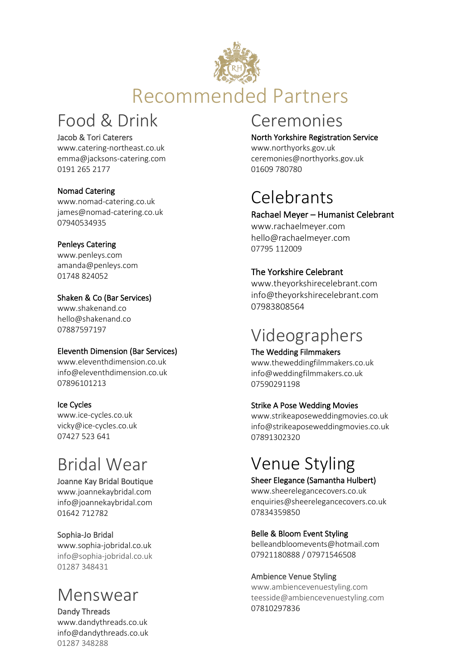

## Food & Drink

#### Jacob & Tori Caterers

[www.catering-northeast.co.uk](http://www.catering-northeast.co.uk/) [emma@jacksons-catering.com](mailto:emma@jacksons-catering.com) 0191 265 2177

#### Nomad Catering

[www.nomad-catering.co.uk](http://www.nomad-catering.co.uk/) [james@nomad-catering.co.uk](mailto:james@nomad-catering.co.uk) 07940534935

#### Penleys Catering

[www.penleys.com](http://www.penleys.com/) [amanda@penleys.com](mailto:amanda@penleys.com) 01748 [824052](tel:01748824052)

#### Shaken & Co (Bar Services)

www.shakenand.co [hello@shakenand.co](mailto:hello@shakenand.co) 07887597197

#### Eleventh Dimension (Bar Services)

[www.eleventhdimension.co.uk](http://www.eleventhdimension.co.uk/) [info@eleventhdimension.co.uk](mailto:info@eleventhdimension.co.uk) 07896101213

#### Ice Cycles

[www.ice-cycles.co.uk](http://www.ice-cycles.co.uk/) vicky@ice-cycles.co.uk 07427 523 641

# Bridal Wear

#### Joanne Kay Bridal Boutique

[www.joannekaybridal.com](http://www.joannekaybridal.com/) [info@joannekaybridal.com](mailto:info@joannekaybridal.com) 01642 712782

#### Sophia-Jo Bridal

[www.sophia-jobridal.co.uk](http://www.sophia-jobridal.co.uk/) info@sophia-jobridal.co.uk 01287 348431

## Menswear

Dandy Threads www.dandythreads.co.uk [info@dandythreads.co.uk](mailto:info@dandythreads.co.uk) 01287 348288

## Ceremonies

North Yorkshire Registration Service [www.northyorks.gov.uk](http://www.northyorks.gov.uk/)

[ceremonies@northyorks.gov.uk](mailto:ceremonies@northyorks.gov.uk) 01609 780780

# Celebrants

#### Rachael Meyer – Humanist Celebrant

www.rachaelmeyer.com hello@rachaelmeyer.com 07795 112009

#### The Yorkshire Celebrant

www.theyorkshirecelebrant.com info@theyorkshirecelebrant.com 07983808564

## Videographers

#### The Wedding Filmmakers

www.theweddingfilmmakers.co.uk info@weddingfilmmakers.co.uk 07590291198

#### Strike A Pose Wedding Movies

www.strikeaposeweddingmovies.co.uk info@strikeaposeweddingmovies.co.uk 07891302320

# Venue Styling

#### Sheer Elegance (Samantha Hulbert)

www.sheerelegancecovers.co.uk [enquiries@sheerelegancecovers.co.uk](mailto:enquiries@sheerelegancecovers.co.uk) 07834359850

#### Belle & Bloom Event Styling

belleandbloomevents@hotmail.com 07921180888 / 07971546508

#### Ambience Venue Styling

www.ambiencevenuestyling.com [teesside@ambiencevenuestyling.com](https://www.ambiencevenuestyling.com/wedding-stylists/teesside/#contact) [07810297836](tel:07810297836)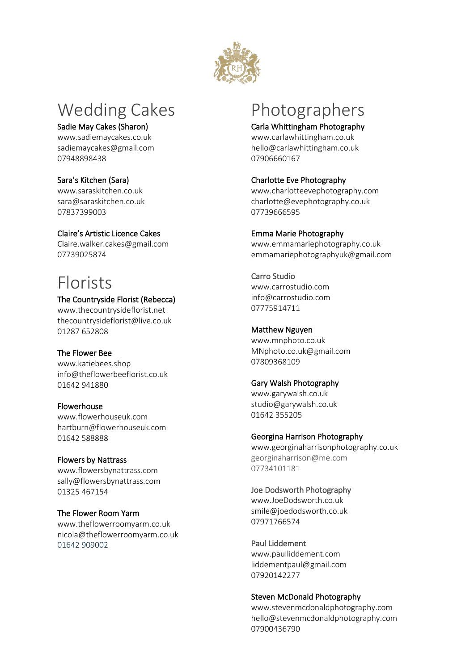

# Wedding Cakes

#### Sadie May Cakes (Sharon)

www.sadiemaycakes.co.uk sadiemaycakes@gmail.com 07948898438

#### Sara's Kitchen (Sara)

www.saraskitchen.co.uk [sara@saraskitchen.co.uk](mailto:sara@saraskitchen.co.uk) 07837399003

#### Claire's Artistic Licence Cakes

[Claire.walker.cakes@gmail.com](mailto:Claire.walker.cakes@gmail.com) 07739025874

## Florists

#### The Countryside Florist (Rebecca)

[www.thecountrysideflorist.net](http://www.thecountrysideflorist.net/) thecountrysideflorist@live.co.uk 01287 652808

#### The Flower Bee

[www.katiebees.shop](http://www.katiebees.shop/) [info@theflowerbeeflorist.co.uk](mailto:info@theflowerbeeflorist.co.uk) 01642 941880

#### Flowerhouse

[www.flowerhouseuk.com](http://www.flowerhouseuk.com/) [hartburn@flowerhouseuk.com](mailto:hartburn@flowerhouseuk.com) 01642 588888

#### Flowers by Nattrass

[www.flowersbynattrass.com](http://www.flowersbynattrass.com/) sally@flowersbynattrass.com 01325 467154

#### The Flower Room Yarm

www.theflowerroomyarm.co.uk nicola@theflowerroomyarm.co.uk 01642 909002

# Photographers

#### Carla Whittingham Photography

www.carlawhittingham.co.uk hello@carlawhittingham.co.uk 07906660167

#### Charlotte Eve Photography

[www.charlotteevephotography.com](http://www.charlotteevephotography.co.uk/) charlotte@evephotography.co.uk 07739666595

#### Emma Marie Photography

[www.emmamariephotography.co.uk](http://www.emmamariephotography.co.uk/) emmamariephotographyuk@gmail.com

### Carro Studio

www.carrostudio.com [info@carrostudio.com](mailto:info@carrostudio.com) [07775914711](tel:07775914711)

#### Matthew Nguyen

[www.mnphoto.co.uk](http://www.mnphoto.co.uk/) MNphoto.co.uk@gmail.com 07809368109

#### Gary Walsh Photography

[www.garywalsh.co.uk](http://www.garywalsh.co.uk/) studio@garywalsh.co.uk 01642 355205

#### Georgina Harrison Photography

www.georginaharrisonphotography.co.uk georginaharrison@me.com 07734101181

#### Joe Dodsworth Photography

[www.JoeDodsworth.co.uk](http://www.joedodsworth.co.uk/) [smile@joedodsworth.co.uk](mailto:smile@joedodsworth.co.uk) 07971766574

### Paul Liddement

www.paulliddement.com liddementpaul@gmail.com 07920142277

#### Steven McDonald Photography

www.stevenmcdonaldphotography.com [hello@stevenmcdonaldphotography.com](mailto:hello@stevenmcdonaldphotography.com) 07900436790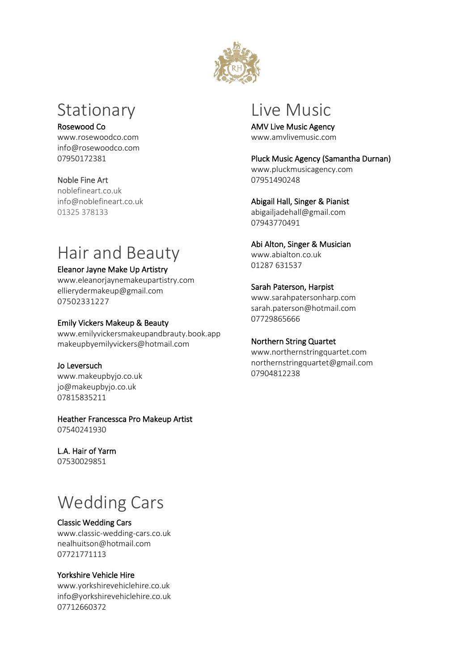

## Stationary

#### Rosewood Co

www.rosewoodco.com [info@rosewoodco.com](mailto:info@rosewoodco.com) 07950172381

#### Noble Fine Art

noblefineart.co.uk [info@noblefineart.co.uk](mailto:info@noblefineart.co.uk) 01325 378133

# Hair and Beauty

#### Eleanor Jayne Make Up Artistry

[www.eleanorjaynemakeupartistry.com](http://www.eleanorjaynemakeupartistry.com/) [ellierydermakeup@gmail.com](mailto:ellierydermakeup@gmail.com) 07502331227

#### Emily Vickers Makeup & Beauty

[www.emilyvickersmakeupandbrauty.book.app](http://www.emilyvickersmakeupandbrauty.book.app/) [makeupbyemilyvickers@hotmail.com](mailto:makeupbyemilyvickers@hotmail.com)

Jo Leversuch www.makeupbyjo.co.uk [jo@makeupbyjo.co.uk](mailto:jo@makeupbyjo.co.uk) 07815835211

## Heather Francessca Pro Makeup Artist

07540241930

### L.A. Hair of Yarm

07530029851

# Wedding Cars

#### Classic Wedding Cars

[www.classic-wedding-cars.co.uk](http://www.classic-wedding-cars.co.uk/) [nealhuitson@hotmail.com](mailto:nealhuitson@hotmail.com) 07721771113

#### Yorkshire Vehicle Hire

www.yorkshirevehiclehire.co.uk info@yorkshirevehiclehire.co.uk [07712660372](tel:07712660372)

## Live Music

AMV Live Music Agency [www.amvlivemusic.com](http://www.amvlivemusic.com/)

Pluck Music Agency (Samantha Durnan) www.pluckmusicagency.com 07951490248

#### Abigail Hall, Singer & Pianist [abigailjadehall@gmail.com](mailto:abigailjadehall@gmail.com)

07943770491

### Abi Alton, Singer & Musician

[www.abialton.co.uk](http://www.abialton.co.uk/) 01287 631537

#### Sarah Paterson, Harpist

[www.sarahpatersonharp.com](http://www.sarahpatersonharp.com/) [sarah.paterson@hotmail.com](mailto:sarah.paterson@hotmail.com) 07729865666

#### Northern String Quartet

[www.northernstringquartet.com](http://www.northernstringquartet.com/) [northernstringquartet@gmail.com](mailto:northernstringquartet@gmail.com) 07904812238